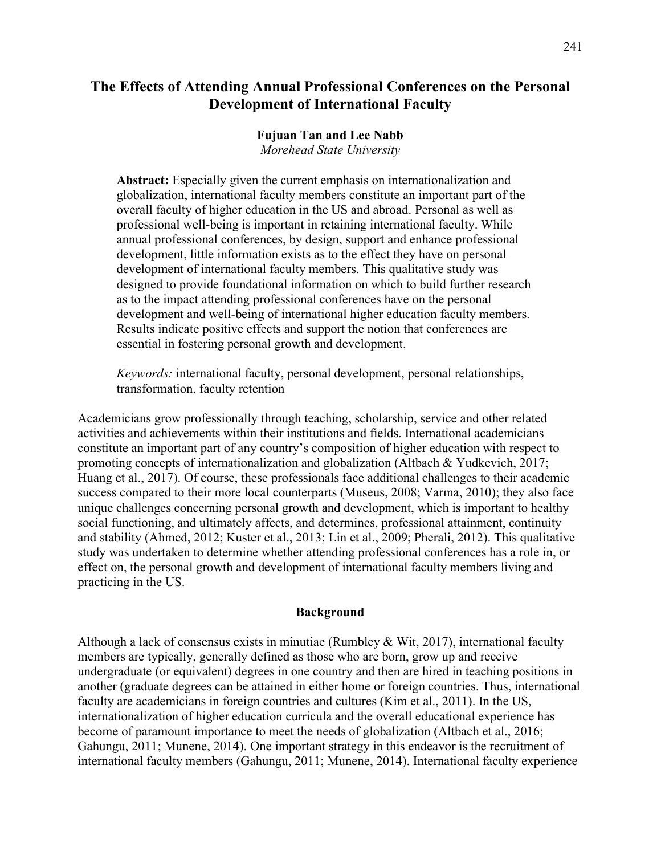# **The Effects of Attending Annual Professional Conferences on the Personal Development of International Faculty**

#### **Fujuan Tan and Lee Nabb** *Morehead State University*

**Abstract:** Especially given the current emphasis on internationalization and globalization, international faculty members constitute an important part of the overall faculty of higher education in the US and abroad. Personal as well as professional well-being is important in retaining international faculty. While annual professional conferences, by design, support and enhance professional development, little information exists as to the effect they have on personal development of international faculty members. This qualitative study was designed to provide foundational information on which to build further research as to the impact attending professional conferences have on the personal development and well-being of international higher education faculty members. Results indicate positive effects and support the notion that conferences are essential in fostering personal growth and development.

*Keywords:* international faculty, personal development, personal relationships, transformation, faculty retention

Academicians grow professionally through teaching, scholarship, service and other related activities and achievements within their institutions and fields. International academicians constitute an important part of any country's composition of higher education with respect to promoting concepts of internationalization and globalization (Altbach & Yudkevich, 2017; Huang et al., 2017). Of course, these professionals face additional challenges to their academic success compared to their more local counterparts (Museus, 2008; Varma, 2010); they also face unique challenges concerning personal growth and development, which is important to healthy social functioning, and ultimately affects, and determines, professional attainment, continuity and stability (Ahmed, 2012; Kuster et al., 2013; Lin et al., 2009; Pherali, 2012). This qualitative study was undertaken to determine whether attending professional conferences has a role in, or effect on, the personal growth and development of international faculty members living and practicing in the US.

### **Background**

Although a lack of consensus exists in minutiae (Rumbley & Wit, 2017), international faculty members are typically, generally defined as those who are born, grow up and receive undergraduate (or equivalent) degrees in one country and then are hired in teaching positions in another (graduate degrees can be attained in either home or foreign countries. Thus, international faculty are academicians in foreign countries and cultures (Kim et al., 2011). In the US, internationalization of higher education curricula and the overall educational experience has become of paramount importance to meet the needs of globalization (Altbach et al., 2016; Gahungu, 2011; Munene, 2014). One important strategy in this endeavor is the recruitment of international faculty members (Gahungu, 2011; Munene, 2014). International faculty experience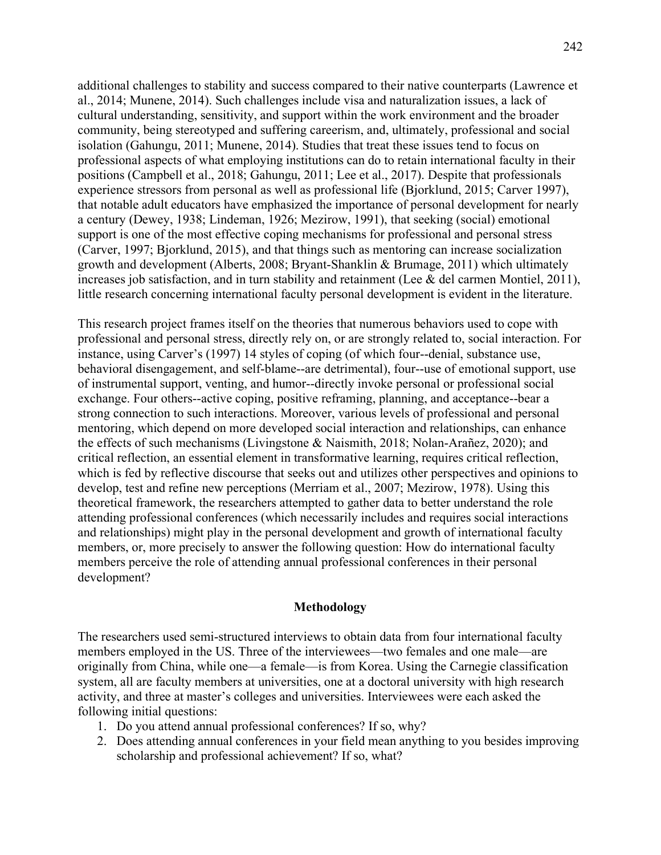additional challenges to stability and success compared to their native counterparts (Lawrence et al., 2014; Munene, 2014). Such challenges include visa and naturalization issues, a lack of cultural understanding, sensitivity, and support within the work environment and the broader community, being stereotyped and suffering careerism, and, ultimately, professional and social isolation (Gahungu, 2011; Munene, 2014). Studies that treat these issues tend to focus on professional aspects of what employing institutions can do to retain international faculty in their positions (Campbell et al., 2018; Gahungu, 2011; Lee et al., 2017). Despite that professionals experience stressors from personal as well as professional life (Bjorklund, 2015; Carver 1997), that notable adult educators have emphasized the importance of personal development for nearly a century (Dewey, 1938; Lindeman, 1926; Mezirow, 1991), that seeking (social) emotional support is one of the most effective coping mechanisms for professional and personal stress (Carver, 1997; Bjorklund, 2015), and that things such as mentoring can increase socialization growth and development (Alberts, 2008; Bryant-Shanklin & Brumage, 2011) which ultimately increases job satisfaction, and in turn stability and retainment (Lee & del carmen Montiel, 2011), little research concerning international faculty personal development is evident in the literature.

This research project frames itself on the theories that numerous behaviors used to cope with professional and personal stress, directly rely on, or are strongly related to, social interaction. For instance, using Carver's (1997) 14 styles of coping (of which four--denial, substance use, behavioral disengagement, and self-blame--are detrimental), four--use of emotional support, use of instrumental support, venting, and humor--directly invoke personal or professional social exchange. Four others--active coping, positive reframing, planning, and acceptance--bear a strong connection to such interactions. Moreover, various levels of professional and personal mentoring, which depend on more developed social interaction and relationships, can enhance the effects of such mechanisms (Livingstone & Naismith, 2018; Nolan-Arañez, 2020); and critical reflection, an essential element in transformative learning, requires critical reflection, which is fed by reflective discourse that seeks out and utilizes other perspectives and opinions to develop, test and refine new perceptions (Merriam et al., 2007; Mezirow, 1978). Using this theoretical framework, the researchers attempted to gather data to better understand the role attending professional conferences (which necessarily includes and requires social interactions and relationships) might play in the personal development and growth of international faculty members, or, more precisely to answer the following question: How do international faculty members perceive the role of attending annual professional conferences in their personal development?

#### **Methodology**

The researchers used semi-structured interviews to obtain data from four international faculty members employed in the US. Three of the interviewees—two females and one male—are originally from China, while one—a female—is from Korea. Using the Carnegie classification system, all are faculty members at universities, one at a doctoral university with high research activity, and three at master's colleges and universities. Interviewees were each asked the following initial questions:

- 1. Do you attend annual professional conferences? If so, why?
- 2. Does attending annual conferences in your field mean anything to you besides improving scholarship and professional achievement? If so, what?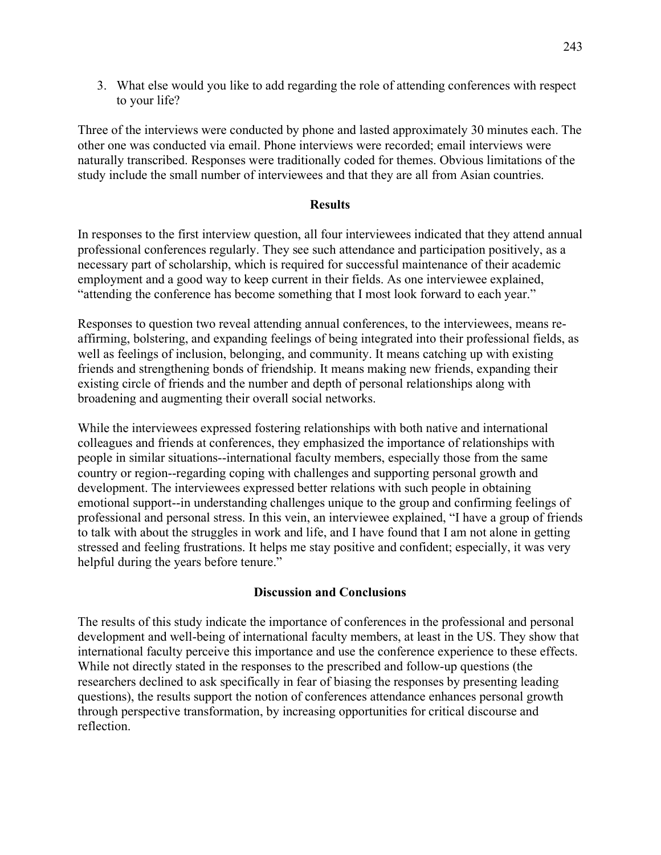3. What else would you like to add regarding the role of attending conferences with respect to your life?

Three of the interviews were conducted by phone and lasted approximately 30 minutes each. The other one was conducted via email. Phone interviews were recorded; email interviews were naturally transcribed. Responses were traditionally coded for themes. Obvious limitations of the study include the small number of interviewees and that they are all from Asian countries.

## **Results**

In responses to the first interview question, all four interviewees indicated that they attend annual professional conferences regularly. They see such attendance and participation positively, as a necessary part of scholarship, which is required for successful maintenance of their academic employment and a good way to keep current in their fields. As one interviewee explained, "attending the conference has become something that I most look forward to each year."

Responses to question two reveal attending annual conferences, to the interviewees, means reaffirming, bolstering, and expanding feelings of being integrated into their professional fields, as well as feelings of inclusion, belonging, and community. It means catching up with existing friends and strengthening bonds of friendship. It means making new friends, expanding their existing circle of friends and the number and depth of personal relationships along with broadening and augmenting their overall social networks.

While the interviewees expressed fostering relationships with both native and international colleagues and friends at conferences, they emphasized the importance of relationships with people in similar situations--international faculty members, especially those from the same country or region--regarding coping with challenges and supporting personal growth and development. The interviewees expressed better relations with such people in obtaining emotional support--in understanding challenges unique to the group and confirming feelings of professional and personal stress. In this vein, an interviewee explained, "I have a group of friends to talk with about the struggles in work and life, and I have found that I am not alone in getting stressed and feeling frustrations. It helps me stay positive and confident; especially, it was very helpful during the years before tenure."

## **Discussion and Conclusions**

The results of this study indicate the importance of conferences in the professional and personal development and well-being of international faculty members, at least in the US. They show that international faculty perceive this importance and use the conference experience to these effects. While not directly stated in the responses to the prescribed and follow-up questions (the researchers declined to ask specifically in fear of biasing the responses by presenting leading questions), the results support the notion of conferences attendance enhances personal growth through perspective transformation, by increasing opportunities for critical discourse and reflection.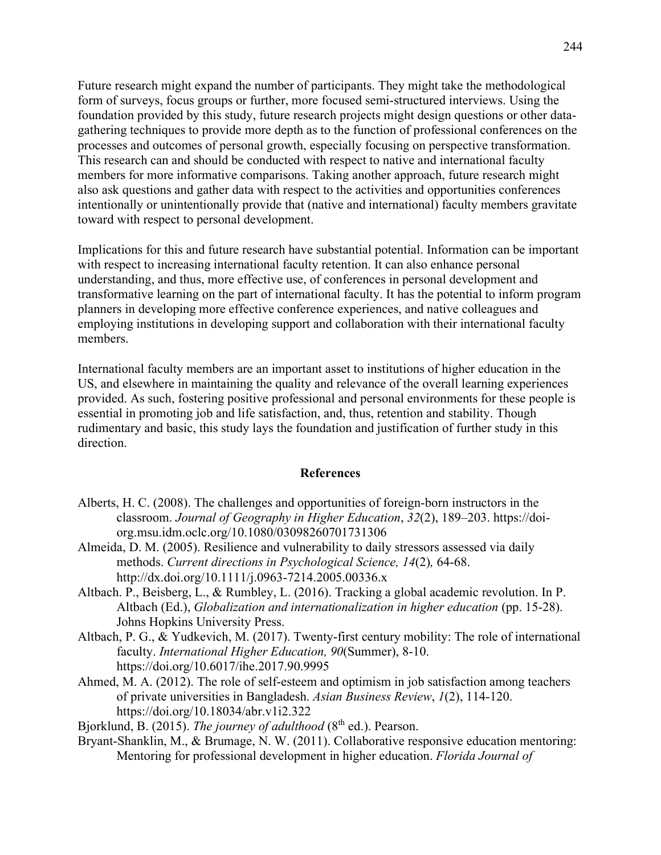Future research might expand the number of participants. They might take the methodological form of surveys, focus groups or further, more focused semi-structured interviews. Using the foundation provided by this study, future research projects might design questions or other datagathering techniques to provide more depth as to the function of professional conferences on the processes and outcomes of personal growth, especially focusing on perspective transformation. This research can and should be conducted with respect to native and international faculty members for more informative comparisons. Taking another approach, future research might also ask questions and gather data with respect to the activities and opportunities conferences intentionally or unintentionally provide that (native and international) faculty members gravitate toward with respect to personal development.

Implications for this and future research have substantial potential. Information can be important with respect to increasing international faculty retention. It can also enhance personal understanding, and thus, more effective use, of conferences in personal development and transformative learning on the part of international faculty. It has the potential to inform program planners in developing more effective conference experiences, and native colleagues and employing institutions in developing support and collaboration with their international faculty members.

International faculty members are an important asset to institutions of higher education in the US, and elsewhere in maintaining the quality and relevance of the overall learning experiences provided. As such, fostering positive professional and personal environments for these people is essential in promoting job and life satisfaction, and, thus, retention and stability. Though rudimentary and basic, this study lays the foundation and justification of further study in this direction.

#### **References**

- Alberts, H. C. (2008). The challenges and opportunities of foreign-born instructors in the classroom. *Journal of Geography in Higher Education*, *32*(2), 189–203. https://doiorg.msu.idm.oclc.org/10.1080/03098260701731306
- Almeida, D. M. (2005). Resilience and vulnerability to daily stressors assessed via daily methods. *Current directions in Psychological Science, 14*(2)*,* 64-68. http://dx.doi.org/10.1111/j.0963-7214.2005.00336.x
- Altbach. P., Beisberg, L., & Rumbley, L. (2016). Tracking a global academic revolution. In P. Altbach (Ed.), *Globalization and internationalization in higher education* (pp. 15-28). Johns Hopkins University Press.
- Altbach, P. G., & Yudkevich, M. (2017). Twenty-first century mobility: The role of international faculty. *International Higher Education, 90*(Summer), 8-10. <https://doi.org/10.6017/ihe.2017.90.9995>
- Ahmed, M. A. (2012). The role of self-esteem and optimism in job satisfaction among teachers of private universities in Bangladesh. *Asian Business Review*, *1*(2), 114-120. https://doi.org/10.18034/abr.v1i2.322
- Bjorklund, B. (2015). *The journey of adulthood* (8<sup>th</sup> ed.). Pearson.
- Bryant-Shanklin, M., & Brumage, N. W. (2011). Collaborative responsive education mentoring: Mentoring for professional development in higher education. *Florida Journal of*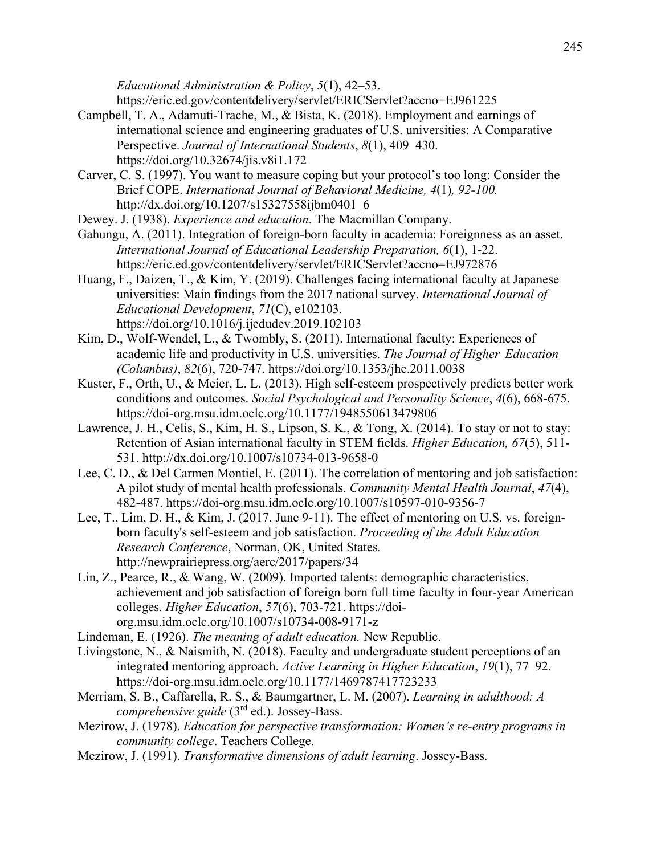*Educational Administration & Policy*, *5*(1), 42–53. <https://eric.ed.gov/contentdelivery/servlet/ERICServlet?accno=EJ961225>

- Campbell, T. A., Adamuti-Trache, M., & Bista, K. (2018). Employment and earnings of international science and engineering graduates of U.S. universities: A Comparative Perspective. *Journal of International Students*, *8*(1), 409–430. <https://doi.org/10.32674/jis.v8i1.172>
- Carver, C. S. (1997). You want to measure coping but your protocol's too long: Consider the Brief COPE. *International Journal of Behavioral Medicine, 4*(1)*, 92-100.* http://dx.doi.org/10.1207/s15327558ijbm0401\_6
- Dewey. J. (1938). *Experience and education*. The Macmillan Company.
- Gahungu, A. (2011). Integration of foreign-born faculty in academia: Foreignness as an asset. *International Journal of Educational Leadership Preparation, 6*(1), 1-22. <https://eric.ed.gov/contentdelivery/servlet/ERICServlet?accno=EJ972876>
- Huang, F., Daizen, T., & Kim, Y. (2019). Challenges facing international faculty at Japanese universities: Main findings from the 2017 national survey. *International Journal of Educational Development*, *71*(C), e102103. <https://doi.org/10.1016/j.ijedudev.2019.102103>
- Kim, D., Wolf-Wendel, L., & Twombly, S. (2011). International faculty: Experiences of academic life and productivity in U.S. universities. *The Journal of Higher Education (Columbus)*, *82*(6), 720-747.<https://doi.org/10.1353/jhe.2011.0038>
- Kuster, F., Orth, U., & Meier, L. L. (2013). High self-esteem prospectively predicts better work conditions and outcomes. *Social Psychological and Personality Science*, *4*(6), 668-675. https://doi-org.msu.idm.oclc.org/10.1177/1948550613479806
- Lawrence, J. H., Celis, S., Kim, H. S., Lipson, S. K., & Tong, X. (2014). To stay or not to stay: Retention of Asian international faculty in STEM fields. *Higher Education, 67*(5), 511- 531. http://dx.doi.org/10.1007/s10734-013-9658-0
- Lee, C. D., & Del Carmen Montiel, E. (2011). The correlation of mentoring and job satisfaction: A pilot study of mental health professionals. *Community Mental Health Journal*, *47*(4), 482-487. https://doi-org.msu.idm.oclc.org/10.1007/s10597-010-9356-7
- Lee, T., Lim, D. H., & Kim, J. (2017, June 9-11). The effect of mentoring on U.S. vs. foreignborn faculty's self-esteem and job satisfaction. *Proceeding of the Adult Education Research Conference*, Norman, OK, United States*[.](http://newprairiepress.org/aerc/2017/papers/34)* <http://newprairiepress.org/aerc/2017/papers/34>
- Lin, Z., Pearce, R., & Wang, W. (2009). Imported talents: demographic characteristics, achievement and job satisfaction of foreign born full time faculty in four-year American colleges. *Higher Education*, *57*(6), 703-721. https://doiorg.msu.idm.oclc.org/10.1007/s10734-008-9171-z
- Lindeman, E. (1926). *The meaning of adult education.* New Republic.
- Livingstone, N., & Naismith, N. (2018). Faculty and undergraduate student perceptions of an integrated mentoring approach. *Active Learning in Higher Education*, *19*(1), 77–92. https://doi-org.msu.idm.oclc.org/10.1177/1469787417723233
- Merriam, S. B., Caffarella, R. S., & Baumgartner, L. M. (2007). *Learning in adulthood: A comprehensive guide* (3rd ed.). Jossey-Bass.
- Mezirow, J. (1978). *Education for perspective transformation: Women's re-entry programs in community college*. Teachers College.
- Mezirow, J. (1991). *Transformative dimensions of adult learning*. Jossey-Bass.